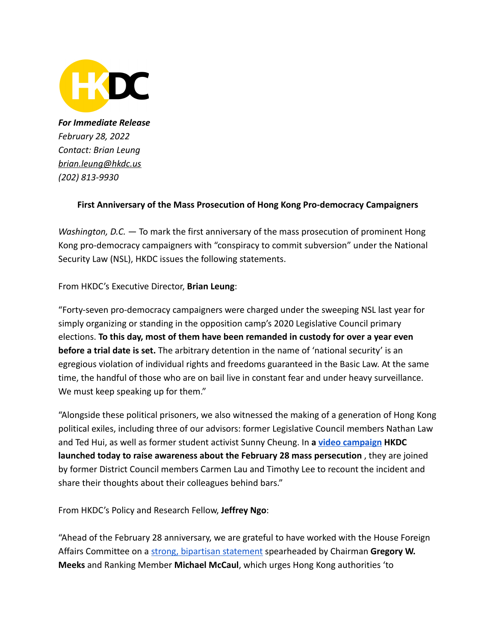

*For Immediate Release February 28, 2022 Contact: Brian Leung [brian.leung@hkdc.us](mailto:brian.leung@hkdc.us) (202) 813-9930*

## **First Anniversary of the Mass Prosecution of Hong Kong Pro-democracy Campaigners**

*Washington, D.C.* — To mark the first anniversary of the mass prosecution of prominent Hong Kong pro-democracy campaigners with "conspiracy to commit subversion" under the National Security Law (NSL), HKDC issues the following statements.

From HKDC's Executive Director, **Brian Leung**:

"Forty-seven pro-democracy campaigners were charged under the sweeping NSL last year for simply organizing or standing in the opposition camp's 2020 Legislative Council primary elections. **To this day, most of them have been remanded in custody for over a year even before a trial date is set.** The arbitrary detention in the name of 'national security' is an egregious violation of individual rights and freedoms guaranteed in the Basic Law. At the same time, the handful of those who are on bail live in constant fear and under heavy surveillance. We must keep speaking up for them."

"Alongside these political prisoners, we also witnessed the making of a generation of Hong Kong political exiles, including three of our advisors: former Legislative Council members Nathan Law and Ted Hui, as well as former student activist Sunny Cheung. In **a [video campaign](https://trk.cp20.com/click/gh3e-3lhoz-20naa-4lmyjr3/) HKDC launched today to raise awareness about the February 28 mass persecution** , they are joined by former District Council members Carmen Lau and Timothy Lee to recount the incident and share their thoughts about their colleagues behind bars."

From HKDC's Policy and Research Fellow, **Jeffrey Ngo**:

"Ahead of the February 28 anniversary, we are grateful to have worked with the House Foreign Affairs Committee on a [strong, bipartisan statement](https://foreignaffairs.house.gov/2022/2/meeks-mccaul-bera-and-chabot-issue-statement-on-the-one-year-anniversary-of-the-mass-arrests-of-hong-kong-pro-democracy-leaders) spearheaded by Chairman **Gregory W. Meeks** and Ranking Member **Michael McCaul**, which urges Hong Kong authorities 'to